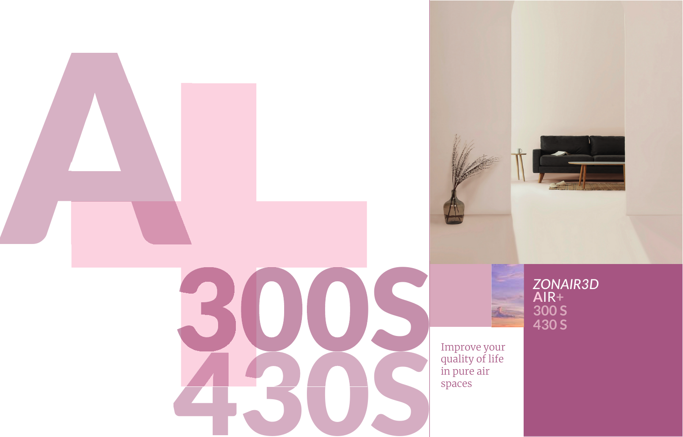